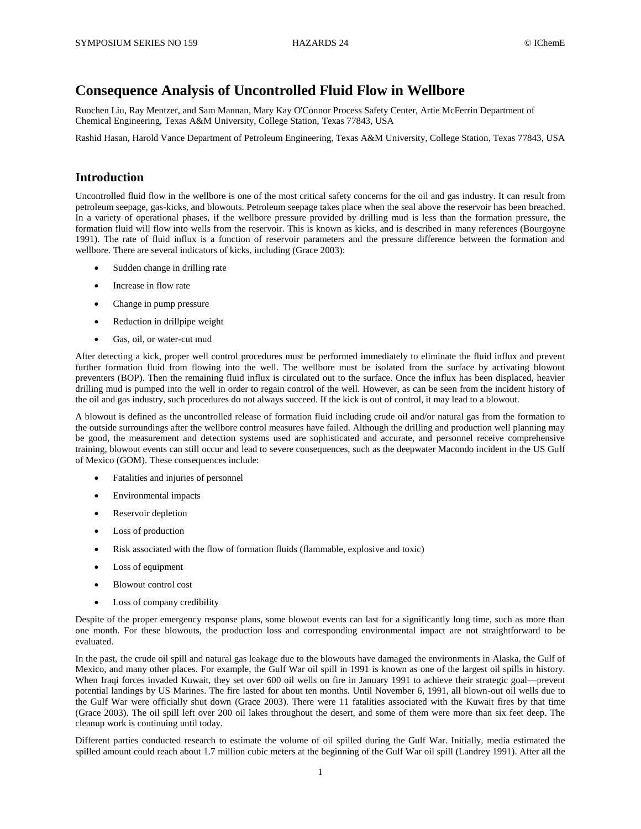# **Consequence Analysis of Uncontrolled Fluid Flow in Wellbore**

Ruochen Liu, Ray Mentzer, and Sam Mannan, Mary Kay O'Connor Process Safety Center, Artie McFerrin Department of Chemical Engineering, Texas A&M University, College Station, Texas 77843, USA

Rashid Hasan, Harold Vance Department of Petroleum Engineering, Texas A&M University, College Station, Texas 77843, USA

## **Introduction**

Uncontrolled fluid flow in the wellbore is one of the most critical safety concerns for the oil and gas industry. It can result from petroleum seepage, gas-kicks, and blowouts. Petroleum seepage takes place when the seal above the reservoir has been breached. In a variety of operational phases, if the wellbore pressure provided by drilling mud is less than the formation pressure, the formation fluid will flow into wells from the reservoir. This is known as kicks, and is described in many references (Bourgoyne 1991). The rate of fluid influx is a function of reservoir parameters and the pressure difference between the formation and wellbore. There are several indicators of kicks, including (Grace 2003):

- Sudden change in drilling rate
- Increase in flow rate
- Change in pump pressure
- Reduction in drillpipe weight
- Gas, oil, or water-cut mud

After detecting a kick, proper well control procedures must be performed immediately to eliminate the fluid influx and prevent further formation fluid from flowing into the well. The wellbore must be isolated from the surface by activating blowout preventers (BOP). Then the remaining fluid influx is circulated out to the surface. Once the influx has been displaced, heavier drilling mud is pumped into the well in order to regain control of the well. However, as can be seen from the incident history of the oil and gas industry, such procedures do not always succeed. If the kick is out of control, it may lead to a blowout.

A blowout is defined as the uncontrolled release of formation fluid including crude oil and/or natural gas from the formation to the outside surroundings after the wellbore control measures have failed. Although the drilling and production well planning may be good, the measurement and detection systems used are sophisticated and accurate, and personnel receive comprehensive training, blowout events can still occur and lead to severe consequences, such as the deepwater Macondo incident in the US Gulf of Mexico (GOM). These consequences include:

- Fatalities and injuries of personnel
- Environmental impacts
- Reservoir depletion
- Loss of production
- Risk associated with the flow of formation fluids (flammable, explosive and toxic)
- Loss of equipment
- Blowout control cost
- Loss of company credibility

Despite of the proper emergency response plans, some blowout events can last for a significantly long time, such as more than one month. For these blowouts, the production loss and corresponding environmental impact are not straightforward to be evaluated.

In the past, the crude oil spill and natural gas leakage due to the blowouts have damaged the environments in Alaska, the Gulf of Mexico, and many other places. For example, the Gulf War oil spill in 1991 is known as one of the largest oil spills in history. When Iraqi forces invaded Kuwait, they set over 600 oil wells on fire in January 1991 to achieve their strategic goal—prevent potential landings by US Marines. The fire lasted for about ten months. Until November 6, 1991, all blown-out oil wells due to the Gulf War were officially shut down (Grace 2003). There were 11 fatalities associated with the Kuwait fires by that time (Grace 2003). The oil spill left over 200 oil lakes throughout the desert, and some of them were more than six feet deep. The cleanup work is continuing until today.

Different parties conducted research to estimate the volume of oil spilled during the Gulf War. Initially, media estimated the spilled amount could reach about 1.7 million cubic meters at the beginning of the Gulf War oil spill (Landrey 1991). After all the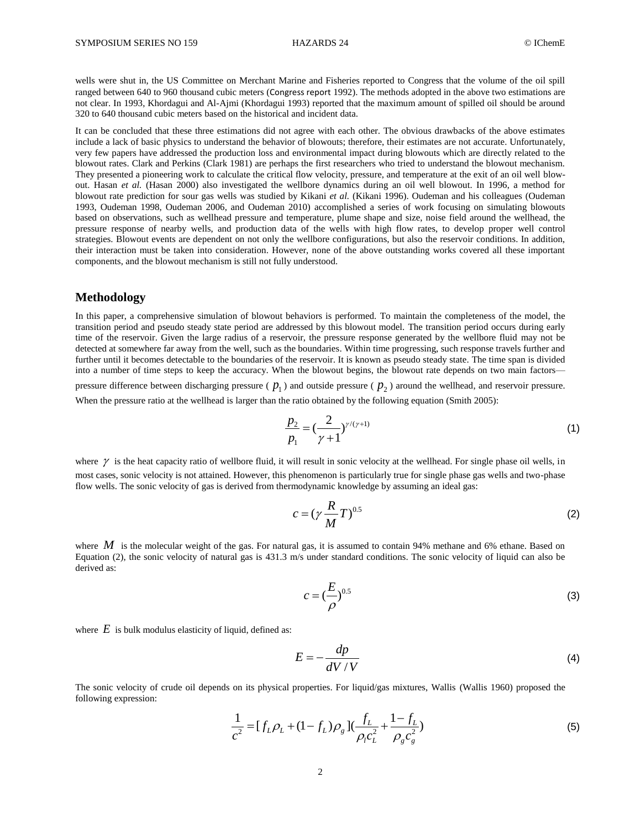wells were shut in, the US Committee on Merchant Marine and Fisheries reported to Congress that the volume of the oil spill ranged between 640 to 960 thousand cubic meters (Congress report 1992). The methods adopted in the above two estimations are not clear. In 1993, Khordagui and Al-Ajmi (Khordagui 1993) reported that the maximum amount of spilled oil should be around 320 to 640 thousand cubic meters based on the historical and incident data.

It can be concluded that these three estimations did not agree with each other. The obvious drawbacks of the above estimates include a lack of basic physics to understand the behavior of blowouts; therefore, their estimates are not accurate. Unfortunately, very few papers have addressed the production loss and environmental impact during blowouts which are directly related to the blowout rates. Clark and Perkins (Clark 1981) are perhaps the first researchers who tried to understand the blowout mechanism. They presented a pioneering work to calculate the critical flow velocity, pressure, and temperature at the exit of an oil well blowout. Hasan *et al.* (Hasan 2000) also investigated the wellbore dynamics during an oil well blowout. In 1996, a method for blowout rate prediction for sour gas wells was studied by Kikani *et al.* (Kikani 1996). Oudeman and his colleagues (Oudeman 1993, Oudeman 1998, Oudeman 2006, and Oudeman 2010) accomplished a series of work focusing on simulating blowouts based on observations, such as wellhead pressure and temperature, plume shape and size, noise field around the wellhead, the pressure response of nearby wells, and production data of the wells with high flow rates, to develop proper well control strategies. Blowout events are dependent on not only the wellbore configurations, but also the reservoir conditions. In addition, their interaction must be taken into consideration. However, none of the above outstanding works covered all these important components, and the blowout mechanism is still not fully understood.

### **Methodology**

In this paper, a comprehensive simulation of blowout behaviors is performed. To maintain the completeness of the model, the transition period and pseudo steady state period are addressed by this blowout model. The transition period occurs during early time of the reservoir. Given the large radius of a reservoir, the pressure response generated by the wellbore fluid may not be detected at somewhere far away from the well, such as the boundaries. Within time progressing, such response travels further and further until it becomes detectable to the boundaries of the reservoir. It is known as pseudo steady state. The time span is divided into a number of time steps to keep the accuracy. When the blowout begins, the blowout rate depends on two main factors—

pressure difference between discharging pressure ( $p_1$ ) and outside pressure ( $p_2$ ) around the wellhead, and reservoir pressure. When the pressure ratio at the wellhead is larger than the ratio obtained by the following equation (Smith 2005):

$$
\frac{p_2}{p_1} = \left(\frac{2}{\gamma + 1}\right)^{\gamma/(\gamma + 1)}
$$
\n(1)

where  $\gamma$  is the heat capacity ratio of wellbore fluid, it will result in sonic velocity at the wellhead. For single phase oil wells, in most cases, sonic velocity is not attained. However, this phenomenon is particularly true for single phase gas wells and two-phase flow wells. The sonic velocity of gas is derived from thermodynamic knowledge by assuming an ideal gas:

$$
c = \left(\gamma \frac{R}{M} T\right)^{0.5} \tag{2}
$$

where  $M$  is the molecular weight of the gas. For natural gas, it is assumed to contain 94% methane and 6% ethane. Based on Equation (2), the sonic velocity of natural gas is 431.3 m/s under standard conditions. The sonic velocity of liquid can also be derived as:

$$
c = \left(\frac{E}{\rho}\right)^{0.5} \tag{3}
$$

where  $E$  is bulk modulus elasticity of liquid, defined as:

$$
E = -\frac{dp}{dV/V} \tag{4}
$$

The sonic velocity of crude oil depends on its physical properties. For liquid/gas mixtures, Wallis (Wallis 1960) proposed the following expression:

$$
\frac{1}{c^2} = [f_L \rho_L + (1 - f_L) \rho_g] \left( \frac{f_L}{\rho_l c_L^2} + \frac{1 - f_L}{\rho_g c_g^2} \right)
$$
(5)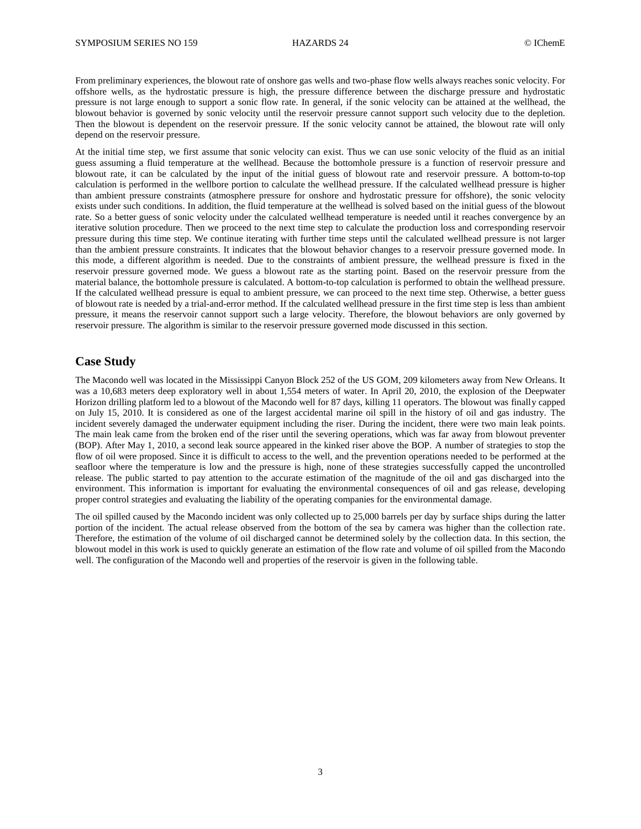From preliminary experiences, the blowout rate of onshore gas wells and two-phase flow wells always reaches sonic velocity. For offshore wells, as the hydrostatic pressure is high, the pressure difference between the discharge pressure and hydrostatic pressure is not large enough to support a sonic flow rate. In general, if the sonic velocity can be attained at the wellhead, the blowout behavior is governed by sonic velocity until the reservoir pressure cannot support such velocity due to the depletion. Then the blowout is dependent on the reservoir pressure. If the sonic velocity cannot be attained, the blowout rate will only depend on the reservoir pressure.

At the initial time step, we first assume that sonic velocity can exist. Thus we can use sonic velocity of the fluid as an initial guess assuming a fluid temperature at the wellhead. Because the bottomhole pressure is a function of reservoir pressure and blowout rate, it can be calculated by the input of the initial guess of blowout rate and reservoir pressure. A bottom-to-top calculation is performed in the wellbore portion to calculate the wellhead pressure. If the calculated wellhead pressure is higher than ambient pressure constraints (atmosphere pressure for onshore and hydrostatic pressure for offshore), the sonic velocity exists under such conditions. In addition, the fluid temperature at the wellhead is solved based on the initial guess of the blowout rate. So a better guess of sonic velocity under the calculated wellhead temperature is needed until it reaches convergence by an iterative solution procedure. Then we proceed to the next time step to calculate the production loss and corresponding reservoir pressure during this time step. We continue iterating with further time steps until the calculated wellhead pressure is not larger than the ambient pressure constraints. It indicates that the blowout behavior changes to a reservoir pressure governed mode. In this mode, a different algorithm is needed. Due to the constraints of ambient pressure, the wellhead pressure is fixed in the reservoir pressure governed mode. We guess a blowout rate as the starting point. Based on the reservoir pressure from the material balance, the bottomhole pressure is calculated. A bottom-to-top calculation is performed to obtain the wellhead pressure. If the calculated wellhead pressure is equal to ambient pressure, we can proceed to the next time step. Otherwise, a better guess of blowout rate is needed by a trial-and-error method. If the calculated wellhead pressure in the first time step is less than ambient pressure, it means the reservoir cannot support such a large velocity. Therefore, the blowout behaviors are only governed by reservoir pressure. The algorithm is similar to the reservoir pressure governed mode discussed in this section.

# **Case Study**

The Macondo well was located in the Mississippi Canyon Block 252 of the US GOM, 209 kilometers away from New Orleans. It was a 10,683 meters deep exploratory well in about 1,554 meters of water. In April 20, 2010, the explosion of the Deepwater Horizon drilling platform led to a blowout of the Macondo well for 87 days, killing 11 operators. The blowout was finally capped on July 15, 2010. It is considered as one of the largest accidental marine oil spill in the history of oil and gas industry. The incident severely damaged the underwater equipment including the riser. During the incident, there were two main leak points. The main leak came from the broken end of the riser until the severing operations, which was far away from blowout preventer (BOP). After May 1, 2010, a second leak source appeared in the kinked riser above the BOP. A number of strategies to stop the flow of oil were proposed. Since it is difficult to access to the well, and the prevention operations needed to be performed at the seafloor where the temperature is low and the pressure is high, none of these strategies successfully capped the uncontrolled release. The public started to pay attention to the accurate estimation of the magnitude of the oil and gas discharged into the environment. This information is important for evaluating the environmental consequences of oil and gas release, developing proper control strategies and evaluating the liability of the operating companies for the environmental damage.

The oil spilled caused by the Macondo incident was only collected up to 25,000 barrels per day by surface ships during the latter portion of the incident. The actual release observed from the bottom of the sea by camera was higher than the collection rate. Therefore, the estimation of the volume of oil discharged cannot be determined solely by the collection data. In this section, the blowout model in this work is used to quickly generate an estimation of the flow rate and volume of oil spilled from the Macondo well. The configuration of the Macondo well and properties of the reservoir is given in the following table.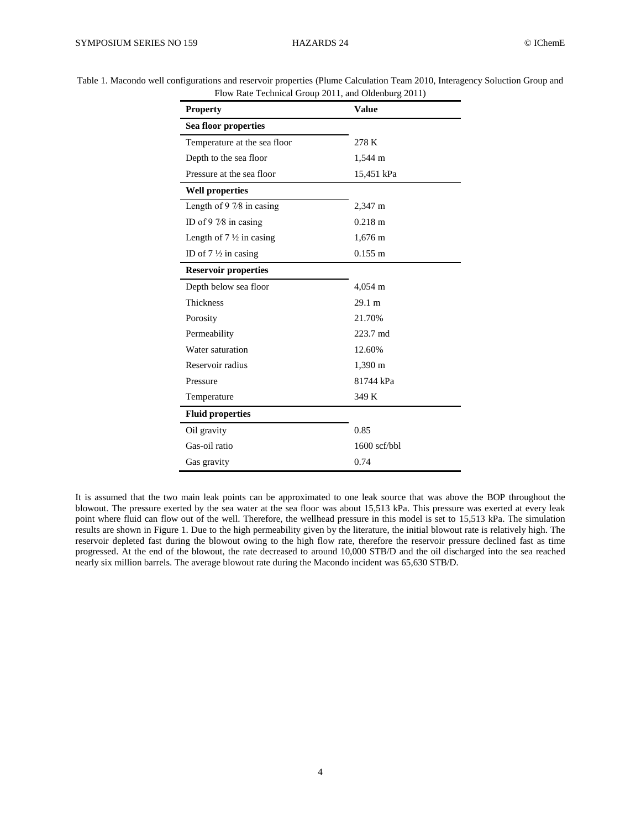| <b>Property</b>                    | <b>Value</b>      |
|------------------------------------|-------------------|
| Sea floor properties               |                   |
| Temperature at the sea floor       | 278 K             |
| Depth to the sea floor             | 1,544 m           |
| Pressure at the sea floor          | 15,451 kPa        |
| <b>Well properties</b>             |                   |
| Length of $97/8$ in casing         | 2,347 m           |
| ID of $97/8$ in casing             | $0.218 \text{ m}$ |
| Length of $7\frac{1}{2}$ in casing | $1,676 \text{ m}$ |
| ID of $7\frac{1}{2}$ in casing     | $0.155 \; m$      |
| <b>Reservoir properties</b>        |                   |
| Depth below sea floor              | $4,054 \text{ m}$ |
| <b>Thickness</b>                   | 29.1 m            |
| Porosity                           | 21.70%            |
| Permeability                       | 223.7 md          |
| Water saturation                   | 12.60%            |
| Reservoir radius                   | 1,390 m           |
| Pressure                           | 81744 kPa         |
| Temperature                        | 349 K             |
| <b>Fluid properties</b>            |                   |
| Oil gravity                        | 0.85              |
| Gas-oil ratio                      | $1600$ scf/bbl    |
| Gas gravity                        | 0.74              |

<span id="page-3-0"></span>Table 1. Macondo well configurations and reservoir properties (Plume Calculation Team 2010, Interagency Soluction Group and Flow Rate Technical Group 2011, and Oldenburg 2011)

It is assumed that the two main leak points can be approximated to one leak source that was above the BOP throughout the blowout. The pressure exerted by the sea water at the sea floor was about 15,513 kPa. This pressure was exerted at every leak point where fluid can flow out of the well. Therefore, the wellhead pressure in this model is set to 15,513 kPa. The simulation results are shown in [Figure 1.](#page-4-0) Due to the high permeability given by the literature, the initial blowout rate is relatively high. The reservoir depleted fast during the blowout owing to the high flow rate, therefore the reservoir pressure declined fast as time progressed. At the end of the blowout, the rate decreased to around 10,000 STB/D and the oil discharged into the sea reached nearly six million barrels. The average blowout rate during the Macondo incident was 65,630 STB/D.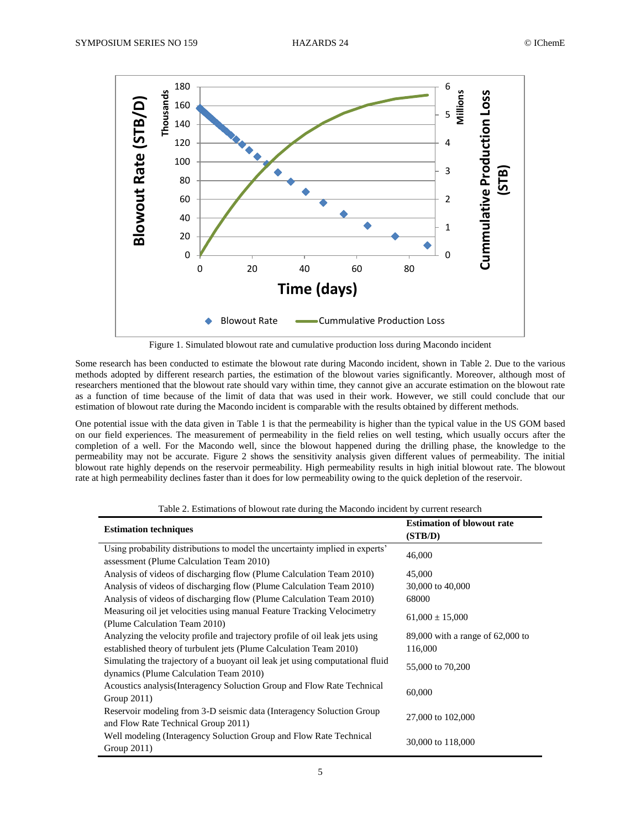

Figure 1. Simulated blowout rate and cumulative production loss during Macondo incident

<span id="page-4-0"></span>Some research has been conducted to estimate the blowout rate during Macondo incident, shown in [Table 2.](#page-4-1) Due to the various methods adopted by different research parties, the estimation of the blowout varies significantly. Moreover, although most of researchers mentioned that the blowout rate should vary within time, they cannot give an accurate estimation on the blowout rate as a function of time because of the limit of data that was used in their work. However, we still could conclude that our estimation of blowout rate during the Macondo incident is comparable with the results obtained by different methods.

One potential issue with the data given in [Table 1](#page-3-0) is that the permeability is higher than the typical value in the US GOM based on our field experiences. The measurement of permeability in the field relies on well testing, which usually occurs after the completion of a well. For the Macondo well, since the blowout happened during the drilling phase, the knowledge to the permeability may not be accurate. [Figure 2](#page-5-0) shows the sensitivity analysis given different values of permeability. The initial blowout rate highly depends on the reservoir permeability. High permeability results in high initial blowout rate. The blowout rate at high permeability declines faster than it does for low permeability owing to the quick depletion of the reservoir.

<span id="page-4-1"></span>

| <b>Estimation techniques</b>                                                                                             | <b>Estimation of blowout rate</b><br>(STB/D) |  |
|--------------------------------------------------------------------------------------------------------------------------|----------------------------------------------|--|
| Using probability distributions to model the uncertainty implied in experts'<br>assessment (Plume Calculation Team 2010) | 46,000                                       |  |
| Analysis of videos of discharging flow (Plume Calculation Team 2010)                                                     | 45,000                                       |  |
| Analysis of videos of discharging flow (Plume Calculation Team 2010)                                                     | 30,000 to 40,000                             |  |
| Analysis of videos of discharging flow (Plume Calculation Team 2010)                                                     | 68000                                        |  |
| Measuring oil jet velocities using manual Feature Tracking Velocimetry<br>(Plume Calculation Team 2010)                  | $61,000 \pm 15,000$                          |  |
| Analyzing the velocity profile and trajectory profile of oil leak jets using                                             | $89,000$ with a range of $62,000$ to         |  |
| established theory of turbulent jets (Plume Calculation Team 2010)                                                       | 116,000                                      |  |
| Simulating the trajectory of a buoyant oil leak jet using computational fluid<br>dynamics (Plume Calculation Team 2010)  | 55,000 to 70,200                             |  |
| Acoustics analysis(Interagency Soluction Group and Flow Rate Technical<br>Group $2011$ )                                 | 60,000                                       |  |
| Reservoir modeling from 3-D seismic data (Interagency Soluction Group<br>and Flow Rate Technical Group 2011)             | 27,000 to 102,000                            |  |
| Well modeling (Interagency Soluction Group and Flow Rate Technical<br>Group 2011)                                        | 30,000 to 118,000                            |  |

Table 2. Estimations of blowout rate during the Macondo incident by current research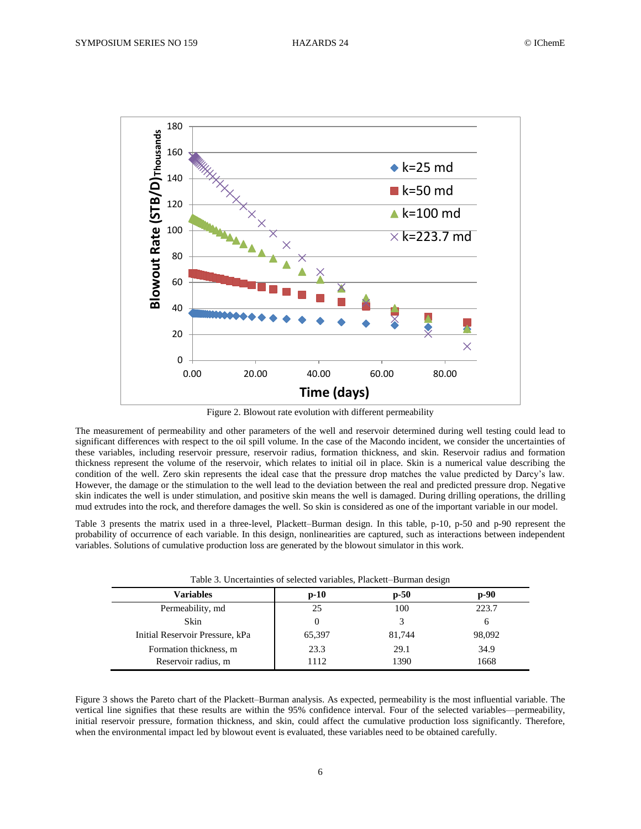

Figure 2. Blowout rate evolution with different permeability

<span id="page-5-0"></span>The measurement of permeability and other parameters of the well and reservoir determined during well testing could lead to significant differences with respect to the oil spill volume. In the case of the Macondo incident, we consider the uncertainties of these variables, including reservoir pressure, reservoir radius, formation thickness, and skin. Reservoir radius and formation thickness represent the volume of the reservoir, which relates to initial oil in place. Skin is a numerical value describing the condition of the well. Zero skin represents the ideal case that the pressure drop matches the value predicted by Darcy's law. However, the damage or the stimulation to the well lead to the deviation between the real and predicted pressure drop. Negative skin indicates the well is under stimulation, and positive skin means the well is damaged. During drilling operations, the drilling mud extrudes into the rock, and therefore damages the well. So skin is considered as one of the important variable in our model.

Table 3 presents the matrix used in a three-level, Plackett–Burman design. In this table, p-10, p-50 and p-90 represent the probability of occurrence of each variable. In this design, nonlinearities are captured, such as interactions between independent variables. Solutions of cumulative production loss are generated by the blowout simulator in this work.

| Table 3. Uncertainties of selected variables, Plackett–Burman design |  |
|----------------------------------------------------------------------|--|
|----------------------------------------------------------------------|--|

| <b>Variables</b>                | $p-10$ | $p-50$ | $p-90$ |
|---------------------------------|--------|--------|--------|
| Permeability, md                | 25     | 100    | 223.7  |
| Skin                            |        |        |        |
| Initial Reservoir Pressure, kPa | 65,397 | 81,744 | 98,092 |
| Formation thickness, m          | 23.3   | 29.1   | 34.9   |
| Reservoir radius, m             | 1112   | 1390   | 1668   |

[Figure 3](#page-6-0) shows the Pareto chart of the Plackett–Burman analysis. As expected, permeability is the most influential variable. The vertical line signifies that these results are within the 95% confidence interval. Four of the selected variables—permeability, initial reservoir pressure, formation thickness, and skin, could affect the cumulative production loss significantly. Therefore, when the environmental impact led by blowout event is evaluated, these variables need to be obtained carefully.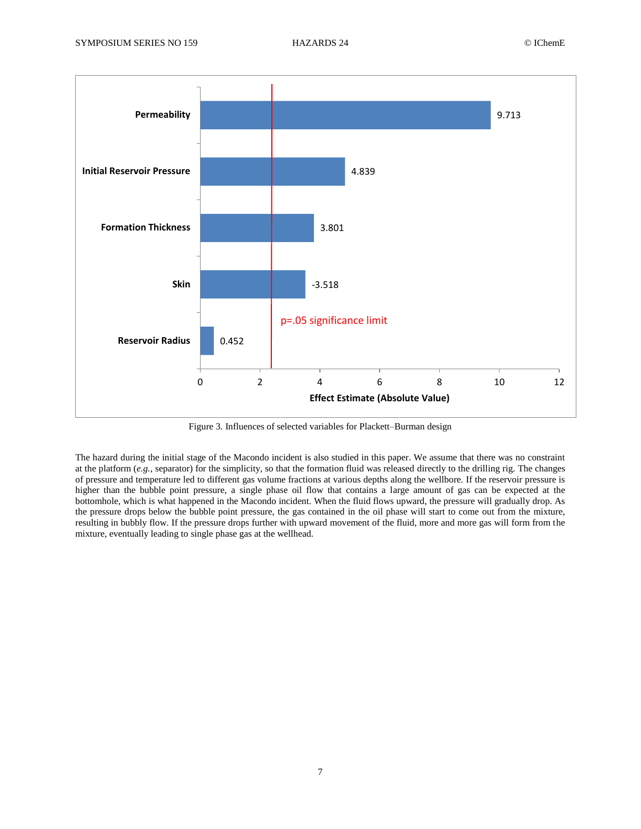

Figure 3. Influences of selected variables for Plackett–Burman design

<span id="page-6-0"></span>The hazard during the initial stage of the Macondo incident is also studied in this paper. We assume that there was no constraint at the platform (*e.g.*, separator) for the simplicity, so that the formation fluid was released directly to the drilling rig. The changes of pressure and temperature led to different gas volume fractions at various depths along the wellbore. If the reservoir pressure is higher than the bubble point pressure, a single phase oil flow that contains a large amount of gas can be expected at the bottomhole, which is what happened in the Macondo incident. When the fluid flows upward, the pressure will gradually drop. As the pressure drops below the bubble point pressure, the gas contained in the oil phase will start to come out from the mixture, resulting in bubbly flow. If the pressure drops further with upward movement of the fluid, more and more gas will form from the mixture, eventually leading to single phase gas at the wellhead.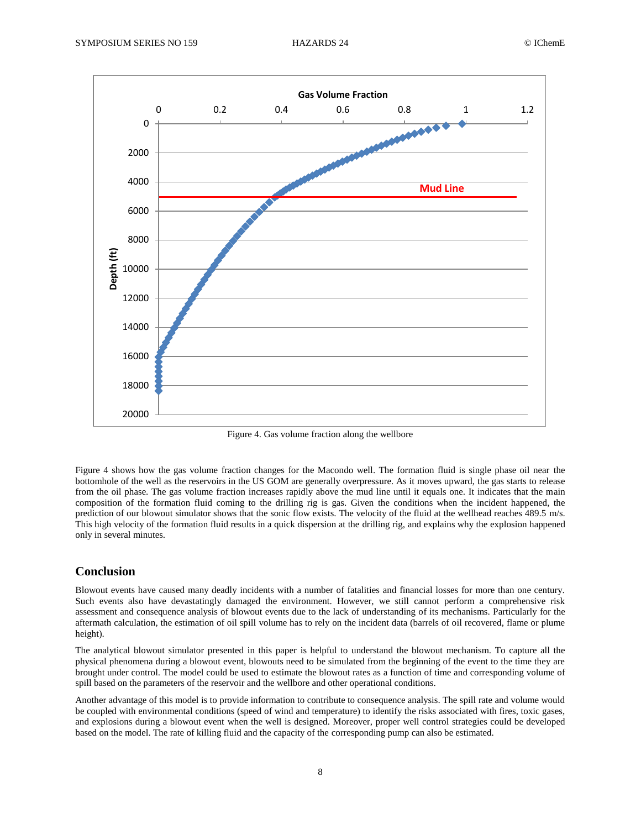

Figure 4. Gas volume fraction along the wellbore

<span id="page-7-0"></span>[Figure 4](#page-7-0) shows how the gas volume fraction changes for the Macondo well. The formation fluid is single phase oil near the bottomhole of the well as the reservoirs in the US GOM are generally overpressure. As it moves upward, the gas starts to release from the oil phase. The gas volume fraction increases rapidly above the mud line until it equals one. It indicates that the main composition of the formation fluid coming to the drilling rig is gas. Given the conditions when the incident happened, the prediction of our blowout simulator shows that the sonic flow exists. The velocity of the fluid at the wellhead reaches 489.5 m/s. This high velocity of the formation fluid results in a quick dispersion at the drilling rig, and explains why the explosion happened only in several minutes.

# **Conclusion**

Blowout events have caused many deadly incidents with a number of fatalities and financial losses for more than one century. Such events also have devastatingly damaged the environment. However, we still cannot perform a comprehensive risk assessment and consequence analysis of blowout events due to the lack of understanding of its mechanisms. Particularly for the aftermath calculation, the estimation of oil spill volume has to rely on the incident data (barrels of oil recovered, flame or plume height).

The analytical blowout simulator presented in this paper is helpful to understand the blowout mechanism. To capture all the physical phenomena during a blowout event, blowouts need to be simulated from the beginning of the event to the time they are brought under control. The model could be used to estimate the blowout rates as a function of time and corresponding volume of spill based on the parameters of the reservoir and the wellbore and other operational conditions.

Another advantage of this model is to provide information to contribute to consequence analysis. The spill rate and volume would be coupled with environmental conditions (speed of wind and temperature) to identify the risks associated with fires, toxic gases, and explosions during a blowout event when the well is designed. Moreover, proper well control strategies could be developed based on the model. The rate of killing fluid and the capacity of the corresponding pump can also be estimated.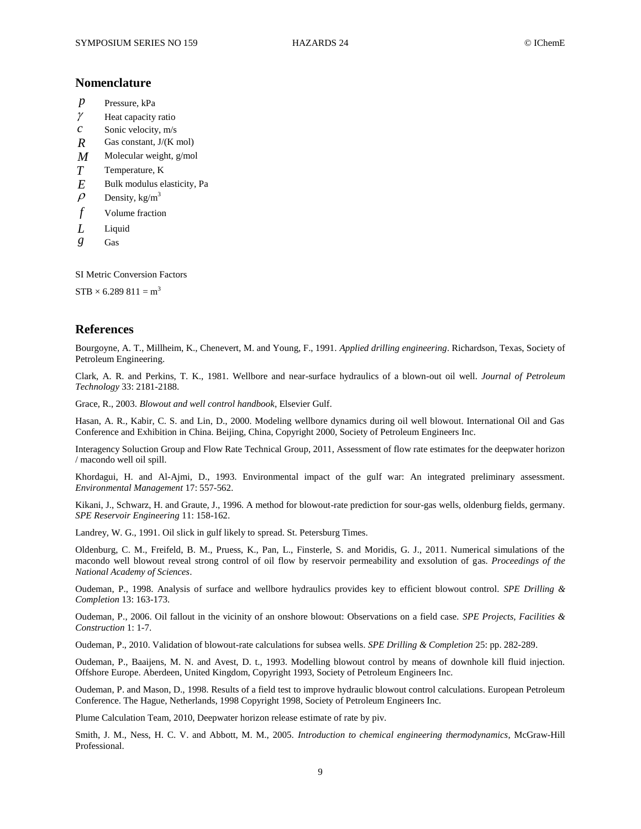# **Nomenclature**

- *p* Pressure, kPa
- $\gamma$ Heat capacity ratio
- *c* Sonic velocity, m/s
- *R* Gas constant, J/(K mol)
- *M* Molecular weight, g/mol
- *T* Temperature, K
- *E* Bulk modulus elasticity, Pa
- $\rho$ Density,  $kg/m<sup>3</sup>$
- *f* Volume fraction
- *L* Liquid
- *g* Gas

SI Metric Conversion Factors

 $STB \times 6.289811 = m^3$ 

#### **References**

Bourgoyne, A. T., Millheim, K., Chenevert, M. and Young, F., 1991. *Applied drilling engineering*. Richardson, Texas, Society of Petroleum Engineering.

Clark, A. R. and Perkins, T. K., 1981. Wellbore and near-surface hydraulics of a blown-out oil well. *Journal of Petroleum Technology* 33: 2181-2188.

Grace, R., 2003. *Blowout and well control handbook*, Elsevier Gulf.

Hasan, A. R., Kabir, C. S. and Lin, D., 2000. Modeling wellbore dynamics during oil well blowout. International Oil and Gas Conference and Exhibition in China. Beijing, China, Copyright 2000, Society of Petroleum Engineers Inc.

Interagency Soluction Group and Flow Rate Technical Group, 2011, Assessment of flow rate estimates for the deepwater horizon / macondo well oil spill.

Khordagui, H. and Al-Ajmi, D., 1993. Environmental impact of the gulf war: An integrated preliminary assessment. *Environmental Management* 17: 557-562.

Kikani, J., Schwarz, H. and Graute, J., 1996. A method for blowout-rate prediction for sour-gas wells, oldenburg fields, germany. *SPE Reservoir Engineering* 11: 158-162.

Landrey, W. G., 1991. Oil slick in gulf likely to spread. St. Petersburg Times.

Oldenburg, C. M., Freifeld, B. M., Pruess, K., Pan, L., Finsterle, S. and Moridis, G. J., 2011. Numerical simulations of the macondo well blowout reveal strong control of oil flow by reservoir permeability and exsolution of gas. *Proceedings of the National Academy of Sciences*.

Oudeman, P., 1998. Analysis of surface and wellbore hydraulics provides key to efficient blowout control. *SPE Drilling & Completion* 13: 163-173.

Oudeman, P., 2006. Oil fallout in the vicinity of an onshore blowout: Observations on a field case. *SPE Projects, Facilities & Construction* 1: 1-7.

Oudeman, P., 2010. Validation of blowout-rate calculations for subsea wells. *SPE Drilling & Completion* 25: pp. 282-289.

Oudeman, P., Baaijens, M. N. and Avest, D. t., 1993. Modelling blowout control by means of downhole kill fluid injection. Offshore Europe. Aberdeen, United Kingdom, Copyright 1993, Society of Petroleum Engineers Inc.

Oudeman, P. and Mason, D., 1998. Results of a field test to improve hydraulic blowout control calculations. European Petroleum Conference. The Hague, Netherlands, 1998 Copyright 1998, Society of Petroleum Engineers Inc.

Plume Calculation Team, 2010, Deepwater horizon release estimate of rate by piv.

Smith, J. M., Ness, H. C. V. and Abbott, M. M., 2005. *Introduction to chemical engineering thermodynamics*, McGraw-Hill Professional.